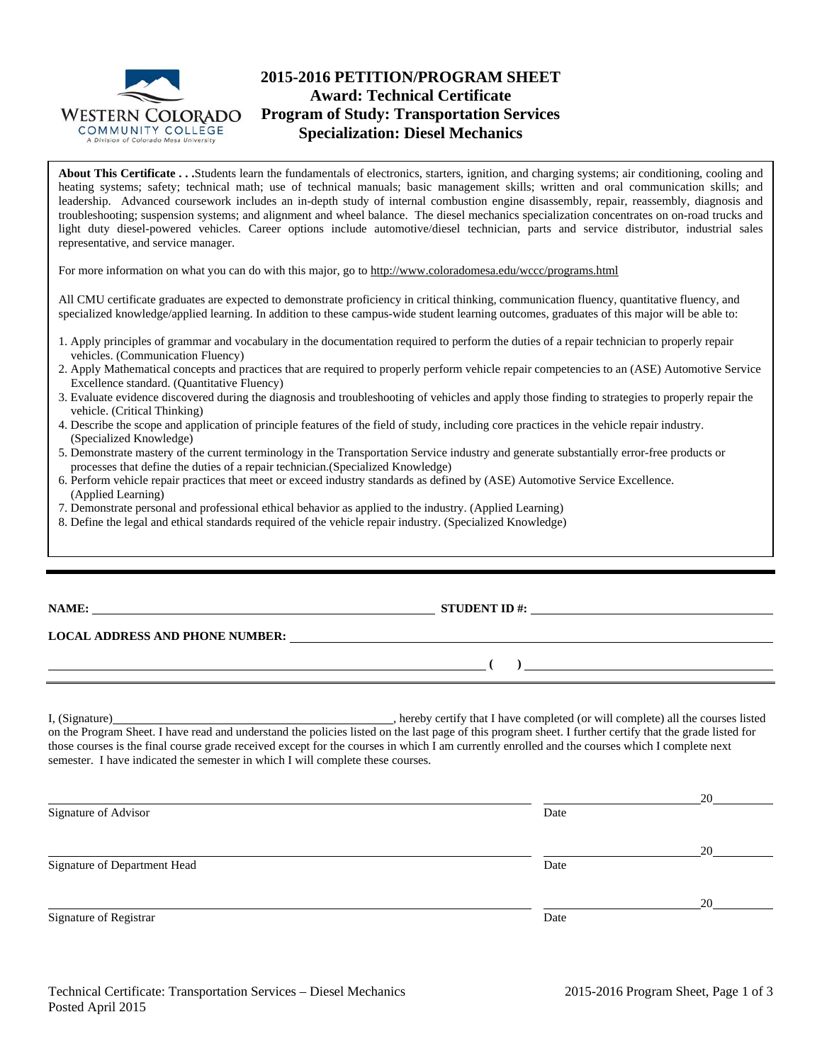

# **2015-2016 PETITION/PROGRAM SHEET Award: Technical Certificate Program of Study: Transportation Services Specialization: Diesel Mechanics**

**About This Certificate . . .**Students learn the fundamentals of electronics, starters, ignition, and charging systems; air conditioning, cooling and heating systems; safety; technical math; use of technical manuals; basic management skills; written and oral communication skills; and leadership. Advanced coursework includes an in-depth study of internal combustion engine disassembly, repair, reassembly, diagnosis and troubleshooting; suspension systems; and alignment and wheel balance. The diesel mechanics specialization concentrates on on-road trucks and light duty diesel-powered vehicles. Career options include automotive/diesel technician, parts and service distributor, industrial sales representative, and service manager.

For more information on what you can do with this major, go to http://www.coloradomesa.edu/wccc/programs.html

All CMU certificate graduates are expected to demonstrate proficiency in critical thinking, communication fluency, quantitative fluency, and specialized knowledge/applied learning. In addition to these campus-wide student learning outcomes, graduates of this major will be able to:

- 1. Apply principles of grammar and vocabulary in the documentation required to perform the duties of a repair technician to properly repair vehicles. (Communication Fluency)
- 2. Apply Mathematical concepts and practices that are required to properly perform vehicle repair competencies to an (ASE) Automotive Service Excellence standard. (Quantitative Fluency)
- 3. Evaluate evidence discovered during the diagnosis and troubleshooting of vehicles and apply those finding to strategies to properly repair the vehicle. (Critical Thinking)
- 4. Describe the scope and application of principle features of the field of study, including core practices in the vehicle repair industry. (Specialized Knowledge)
- 5. Demonstrate mastery of the current terminology in the Transportation Service industry and generate substantially error-free products or processes that define the duties of a repair technician.(Specialized Knowledge)
- 6. Perform vehicle repair practices that meet or exceed industry standards as defined by (ASE) Automotive Service Excellence. (Applied Learning)
- 7. Demonstrate personal and professional ethical behavior as applied to the industry. (Applied Learning)
- 8. Define the legal and ethical standards required of the vehicle repair industry. (Specialized Knowledge)

| <b>NAME:</b> |  |
|--------------|--|
|--------------|--|

**NAME:** STUDENT ID #:

 **( )** 

### **LOCAL ADDRESS AND PHONE NUMBER:**

I, (Signature) , hereby certify that I have completed (or will complete) all the courses listed on the Program Sheet. I have read and understand the policies listed on the last page of this program sheet. I further certify that the grade listed for those courses is the final course grade received except for the courses in which I am currently enrolled and the courses which I complete next semester. I have indicated the semester in which I will complete these courses.

|                              |      | 20 |
|------------------------------|------|----|
| Signature of Advisor         | Date |    |
|                              |      | 20 |
| Signature of Department Head | Date |    |
|                              |      | 20 |
| Signature of Registrar       | Date |    |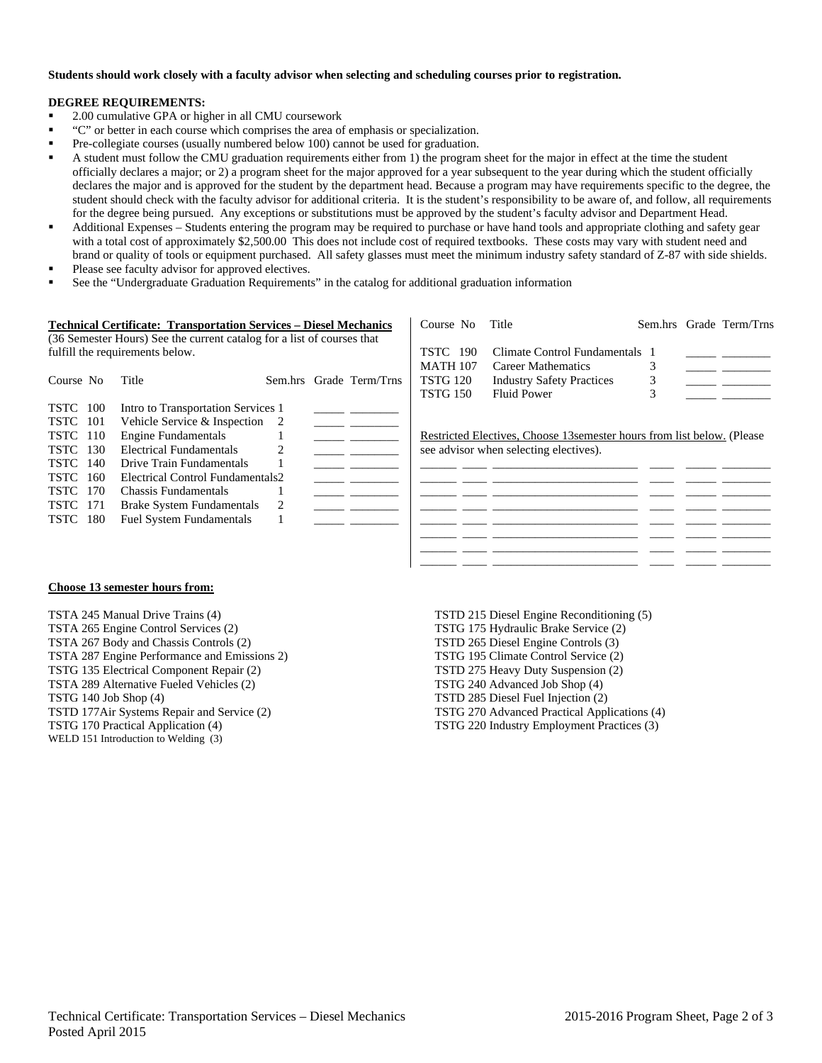#### **Students should work closely with a faculty advisor when selecting and scheduling courses prior to registration.**

#### **DEGREE REQUIREMENTS:**

- 2.00 cumulative GPA or higher in all CMU coursework
- "C" or better in each course which comprises the area of emphasis or specialization.
- Pre-collegiate courses (usually numbered below 100) cannot be used for graduation.
- A student must follow the CMU graduation requirements either from 1) the program sheet for the major in effect at the time the student officially declares a major; or 2) a program sheet for the major approved for a year subsequent to the year during which the student officially declares the major and is approved for the student by the department head. Because a program may have requirements specific to the degree, the student should check with the faculty advisor for additional criteria. It is the student's responsibility to be aware of, and follow, all requirements for the degree being pursued. Any exceptions or substitutions must be approved by the student's faculty advisor and Department Head.
- Additional Expenses Students entering the program may be required to purchase or have hand tools and appropriate clothing and safety gear with a total cost of approximately \$2,500.00 This does not include cost of required textbooks. These costs may vary with student need and brand or quality of tools or equipment purchased. All safety glasses must meet the minimum industry safety standard of Z-87 with side shields.
- Please see faculty advisor for approved electives.
- See the "Undergraduate Graduation Requirements" in the catalog for additional graduation information

|                    | <b>Technical Certificate: Transportation Services – Diesel Mechanics</b> |                         | Course No       | Title                                                                   |  | Sem.hrs Grade Term/Trns |
|--------------------|--------------------------------------------------------------------------|-------------------------|-----------------|-------------------------------------------------------------------------|--|-------------------------|
|                    | (36 Semester Hours) See the current catalog for a list of courses that   |                         |                 |                                                                         |  |                         |
|                    | fulfill the requirements below.                                          |                         | <b>TSTC</b> 190 | Climate Control Fundamentals                                            |  |                         |
|                    |                                                                          |                         | <b>MATH 107</b> | <b>Career Mathematics</b>                                               |  |                         |
| Course No          | Title                                                                    | Sem.hrs Grade Term/Trns | <b>TSTG 120</b> | <b>Industry Safety Practices</b>                                        |  |                         |
|                    |                                                                          |                         | <b>TSTG 150</b> | Fluid Power                                                             |  |                         |
| <b>TSTC</b> 100    | Intro to Transportation Services 1                                       |                         |                 |                                                                         |  |                         |
| <b>TSTC</b> 101    | Vehicle Service & Inspection 2                                           |                         |                 |                                                                         |  |                         |
| <b>TSTC</b> 110    | <b>Engine Fundamentals</b>                                               |                         |                 | Restricted Electives, Choose 13 semester hours from list below. (Please |  |                         |
| <b>TSTC</b> 130    | Electrical Fundamentals                                                  |                         |                 | see advisor when selecting electives).                                  |  |                         |
| <b>TSTC</b> 140    | Drive Train Fundamentals                                                 |                         |                 |                                                                         |  |                         |
| <b>TSTC</b><br>160 | Electrical Control Fundamentals2                                         |                         |                 |                                                                         |  |                         |
| <b>TSTC</b> 170    | Chassis Fundamentals                                                     |                         |                 |                                                                         |  |                         |
| <b>TSTC</b> 171    | Brake System Fundamentals                                                |                         |                 |                                                                         |  |                         |
| <b>TSTC</b> 180    | <b>Fuel System Fundamentals</b>                                          |                         |                 |                                                                         |  |                         |
|                    |                                                                          |                         |                 |                                                                         |  |                         |
|                    |                                                                          |                         |                 |                                                                         |  |                         |

### **Choose 13 semester hours from:**

TSTA 245 Manual Drive Trains (4) TSTA 265 Engine Control Services (2) TSTA 267 Body and Chassis Controls (2) TSTA 287 Engine Performance and Emissions 2) TSTG 135 Electrical Component Repair (2) TSTA 289 Alternative Fueled Vehicles (2) TSTG 140 Job Shop (4) TSTD 177Air Systems Repair and Service (2) TSTG 170 Practical Application (4) WELD 151 Introduction to Welding (3)

TSTD 215 Diesel Engine Reconditioning (5) TSTG 175 Hydraulic Brake Service (2) TSTD 265 Diesel Engine Controls (3) TSTG 195 Climate Control Service (2) TSTD 275 Heavy Duty Suspension (2) TSTG 240 Advanced Job Shop (4) TSTD 285 Diesel Fuel Injection (2) TSTG 270 Advanced Practical Applications (4) TSTG 220 Industry Employment Practices (3)

\_\_\_\_\_\_ \_\_\_\_ \_\_\_\_\_\_\_\_\_\_\_\_\_\_\_\_\_\_\_\_\_\_\_\_ \_\_\_\_ \_\_\_\_\_ \_\_\_\_\_\_\_\_